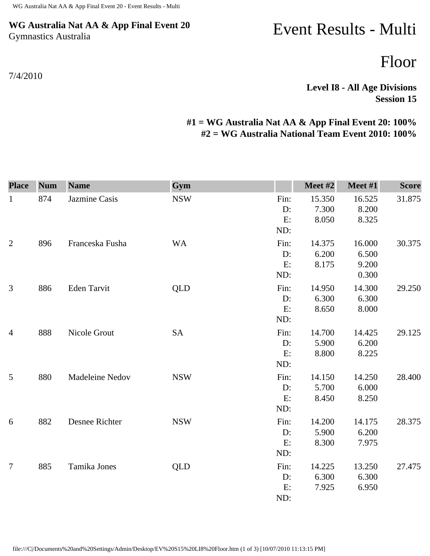## **WG Australia Nat AA & App Final Event 20** Gymnastics Australia

## 7/4/2010

## Event Results - Multi

Floor

**Level I8 - All Age Divisions Session 15** 

## **#1 = WG Australia Nat AA & App Final Event 20: 100% #2 = WG Australia National Team Event 2010: 100%**

| <b>Place</b>   | <b>Num</b> | <b>Name</b>        | Gym        |            | Meet #2         | Meet #1         | <b>Score</b> |
|----------------|------------|--------------------|------------|------------|-----------------|-----------------|--------------|
| $\mathbf{1}$   | 874        | Jazmine Casis      | <b>NSW</b> | Fin:<br>D: | 15.350<br>7.300 | 16.525<br>8.200 | 31.875       |
|                |            |                    |            | E:<br>ND:  | 8.050           | 8.325           |              |
| $\overline{2}$ | 896        | Franceska Fusha    | <b>WA</b>  | Fin:       | 14.375          | 16.000          | 30.375       |
|                |            |                    |            | D:         | 6.200           | 6.500           |              |
|                |            |                    |            | E:         | 8.175           | 9.200           |              |
|                |            |                    |            | ND:        |                 | 0.300           |              |
| $\mathfrak{Z}$ | 886        | <b>Eden Tarvit</b> | <b>QLD</b> | Fin:       | 14.950          | 14.300          | 29.250       |
|                |            |                    |            | D:         | 6.300           | 6.300           |              |
|                |            |                    |            | E:         | 8.650           | 8.000           |              |
|                |            |                    |            | ND:        |                 |                 |              |
| $\overline{4}$ | 888        | Nicole Grout       | <b>SA</b>  | Fin:       | 14.700          | 14.425          | 29.125       |
|                |            |                    |            | D:         | 5.900           | 6.200           |              |
|                |            |                    |            | E:         | 8.800           | 8.225           |              |
|                |            |                    |            | ND:        |                 |                 |              |
| 5              | 880        | Madeleine Nedov    | <b>NSW</b> | Fin:       | 14.150          | 14.250          | 28.400       |
|                |            |                    |            | D:         | 5.700           | 6.000           |              |
|                |            |                    |            | E:         | 8.450           | 8.250           |              |
|                |            |                    |            | ND:        |                 |                 |              |
| 6              | 882        | Desnee Richter     | <b>NSW</b> | Fin:       | 14.200          | 14.175          | 28.375       |
|                |            |                    |            | D:         | 5.900           | 6.200           |              |
|                |            |                    |            | E:         | 8.300           | 7.975           |              |
|                |            |                    |            | ND:        |                 |                 |              |
| $\overline{7}$ | 885        | Tamika Jones       | <b>QLD</b> | Fin:       | 14.225          | 13.250          | 27.475       |
|                |            |                    |            | D:         | 6.300           | 6.300           |              |
|                |            |                    |            | E:         | 7.925           | 6.950           |              |
|                |            |                    |            | ND:        |                 |                 |              |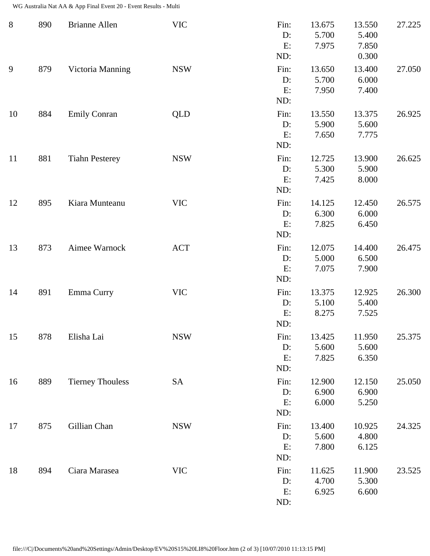WG Australia Nat AA & App Final Event 20 - Event Results - Multi

| $8\,$ | 890 | <b>Brianne Allen</b>    | <b>VIC</b> | Fin:<br>D:<br>E:<br>ND:    | 13.675<br>5.700<br>7.975 | 13.550<br>5.400<br>7.850<br>0.300 | 27.225 |
|-------|-----|-------------------------|------------|----------------------------|--------------------------|-----------------------------------|--------|
| 9     | 879 | Victoria Manning        | <b>NSW</b> | Fin:<br>$D$ :<br>E:<br>ND: | 13.650<br>5.700<br>7.950 | 13.400<br>6.000<br>7.400          | 27.050 |
| 10    | 884 | <b>Emily Conran</b>     | QLD        | Fin:<br>D:<br>E:<br>ND:    | 13.550<br>5.900<br>7.650 | 13.375<br>5.600<br>7.775          | 26.925 |
| 11    | 881 | <b>Tiahn Pesterey</b>   | <b>NSW</b> | Fin:<br>D:<br>E:<br>ND:    | 12.725<br>5.300<br>7.425 | 13.900<br>5.900<br>8.000          | 26.625 |
| 12    | 895 | Kiara Munteanu          | <b>VIC</b> | Fin:<br>D:<br>E:<br>ND:    | 14.125<br>6.300<br>7.825 | 12.450<br>6.000<br>6.450          | 26.575 |
| 13    | 873 | Aimee Warnock           | <b>ACT</b> | Fin:<br>D:<br>E:<br>ND:    | 12.075<br>5.000<br>7.075 | 14.400<br>6.500<br>7.900          | 26.475 |
| 14    | 891 | Emma Curry              | <b>VIC</b> | Fin:<br>D:<br>E:<br>ND:    | 13.375<br>5.100<br>8.275 | 12.925<br>5.400<br>7.525          | 26.300 |
| 15    | 878 | Elisha Lai              | <b>NSW</b> | Fin:<br>D:<br>E:<br>ND:    | 13.425<br>5.600<br>7.825 | 11.950<br>5.600<br>6.350          | 25.375 |
| 16    | 889 | <b>Tierney Thouless</b> | <b>SA</b>  | Fin:<br>D:<br>E:<br>ND:    | 12.900<br>6.900<br>6.000 | 12.150<br>6.900<br>5.250          | 25.050 |
| 17    | 875 | Gillian Chan            | <b>NSW</b> | Fin:<br>D:<br>E:<br>ND:    | 13.400<br>5.600<br>7.800 | 10.925<br>4.800<br>6.125          | 24.325 |
| 18    | 894 | Ciara Marasea           | <b>VIC</b> | Fin:<br>D:<br>E:<br>ND:    | 11.625<br>4.700<br>6.925 | 11.900<br>5.300<br>6.600          | 23.525 |